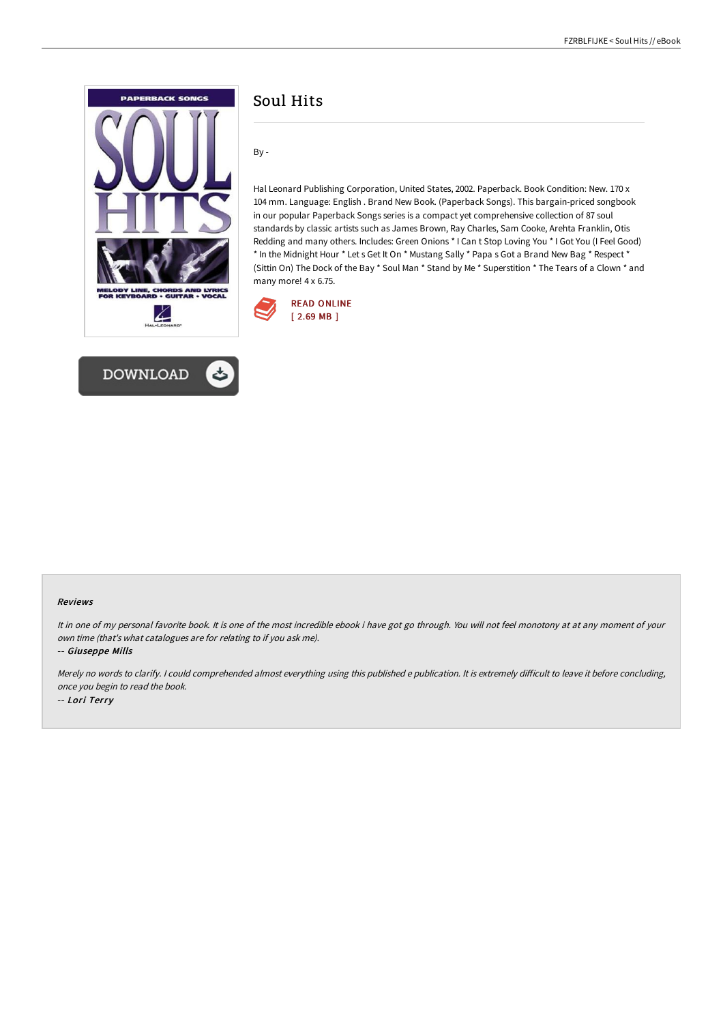



# Soul Hits

By -

Hal Leonard Publishing Corporation, United States, 2002. Paperback. Book Condition: New. 170 x 104 mm. Language: English . Brand New Book. (Paperback Songs). This bargain-priced songbook in our popular Paperback Songs series is a compact yet comprehensive collection of 87 soul standards by classic artists such as James Brown, Ray Charles, Sam Cooke, Arehta Franklin, Otis Redding and many others. Includes: Green Onions \* I Can t Stop Loving You \* I Got You (I Feel Good) \* In the Midnight Hour \* Let s Get It On \* Mustang Sally \* Papa s Got a Brand New Bag \* Respect \* (Sittin On) The Dock of the Bay \* Soul Man \* Stand by Me \* Superstition \* The Tears of a Clown \* and many more! 4 x 6.75.



#### Reviews

It in one of my personal favorite book. It is one of the most incredible ebook i have got go through. You will not feel monotony at at any moment of your own time (that's what catalogues are for relating to if you ask me).

-- Giuseppe Mills

Merely no words to clarify. I could comprehended almost everything using this published e publication. It is extremely difficult to leave it before concluding, once you begin to read the book. -- Lori Terry